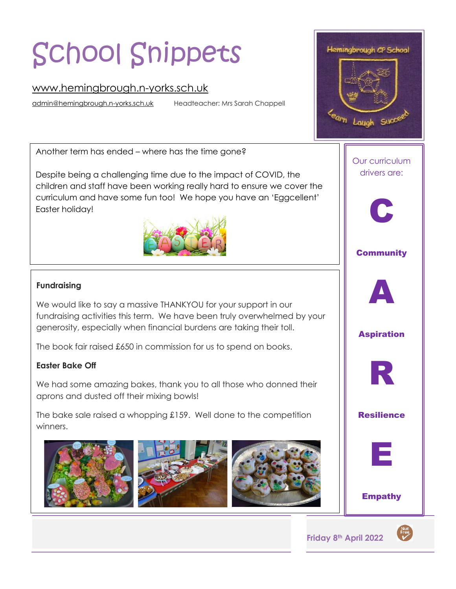# School Snippets

# [www.hemingbrough.n-yorks.sch.uk](http://www.hemingbrough.n-yorks.sch.uk/)

[admin@hemingbrough.n-yorks.sch.uk](mailto:admin@hemingbrough.n-yorks.sch.uk) Headteacher: Mrs Sarah Chappell

Another term has ended – where has the time gone?

Despite being a challenging time due to the impact of COVID, the children and staff have been working really hard to ensure we cover the curriculum and have some fun too! We hope you have an 'Eggcellent' Easter holiday!



#### **Fundraising**

We would like to say a massive THANKYOU for your support in our fundraising activities this term. We have been truly overwhelmed by your generosity, especially when financial burdens are taking their toll.

The book fair raised £650 in commission for us to spend on books.

## **Easter Bake Off**

We had some amazing bakes, thank you to all those who donned their aprons and dusted off their mixing bowls!

The bake sale raised a whopping £159. Well done to the competition winners.





**Friday 8th April 2022**